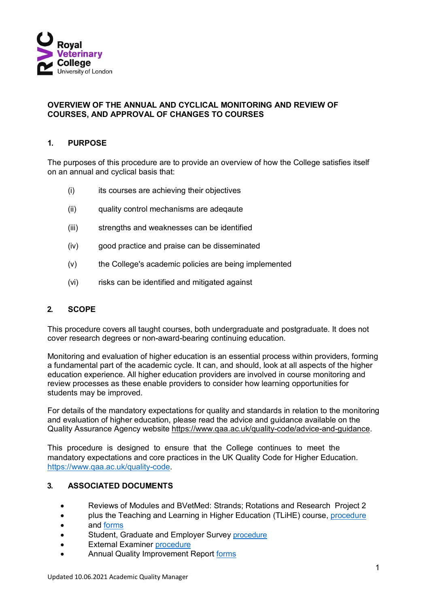

#### **OVERVIEW OF THE ANNUAL AND CYCLICAL MONITORING AND REVIEW OF COURSES, AND APPROVAL OF CHANGES TO COURSES**

#### **1. PURPOSE**

The purposes of this procedure are to provide an overview of how the College satisfies itself on an annual and cyclical basis that:

- (i) its courses are achieving their objectives
- (ii) quality control mechanisms are adeqaute
- (iii) strengths and weaknesses can be identified
- (iv) good practice and praise can be disseminated
- (v) the College's academic policies are being implemented
- (vi) risks can be identified and mitigated against

#### **2. SCOPE**

This procedure covers all taught courses, both undergraduate and postgraduate. It does not cover research degrees or non-award-bearing continuing education.

Monitoring and evaluation of higher education is an essential process within providers, forming a fundamental part of the academic cycle. It can, and should, look at all aspects of the higher education experience. All higher education providers are involved in course monitoring and review processes as these enable providers to consider how learning opportunities for students may be improved.

For details of the mandatory expectations for quality and standards in relation to the monitoring and evaluation of higher education, please read the advice and guidance available on the Quality Assurance Agency website [https://www.qaa.ac.uk/quality-code/advice-and-guidance.](https://www.qaa.ac.uk/quality-code/advice-and-guidance)

This procedure is designed to ensure that the College continues to meet the mandatory expectations and core practices in the UK Quality Code for Higher Education. [https://www.qaa.ac.uk/quality-code.](https://www.qaa.ac.uk/quality-code)

## **3. ASSOCIATED DOCUMENTS**

- Reviews of Modules and BVetMed: Strands; Rotations and Research Project 2
- plus the Teaching and Learning in Higher Education (TLiHE) course, [procedure](https://www.rvc.ac.uk/Media/Default/About/Academic%20Quality,%20Regulations%20and%20Procedures/Academic%20Quality%20Assurance%20and%20Enhancement%20Procedures/Module%20and%20Strand%20Review%202015-16/AQAEP_MODULE_STRAND_IMR_RP2_REVIEW.pdf)
- and [forms](https://www.rvc.ac.uk/about/the-rvc/academic-quality-regulations-procedures/module-and-strand-review)
- Student, Graduate and Employer Survey [procedure](https://www.rvc.ac.uk/Media/Default/About/Academic%20Quality,%20Regulations%20and%20Procedures/Academic%20Quality%20Assurance%20and%20Enhancement%20Procedures/AQAEP_STUDENT%20GRADUATE%20AND%20EMPLOYER%20EVALUATION%20SURVEYS_09022021.pdf)
- External Examiner [procedure](https://www.rvc.ac.uk/about/the-rvc/academic-quality-regulations-procedures/external-examiners)
- Annual Quality Improvement Report [forms](https://www.rvc.ac.uk/about/the-rvc/academic-quality-regulations-procedures/annual-quality-improvement-reporting-process)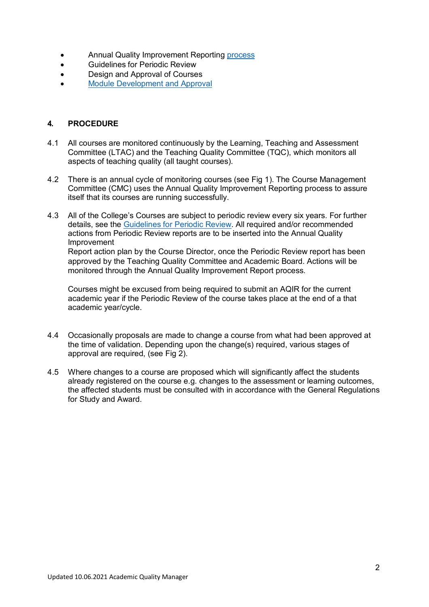- Annual Quality Improvement Reporting [process](https://www.rvc.ac.uk/Media/Default/About/Academic%20Quality,%20Regulations%20and%20Procedures/Academic%20Quality%20Assurance%20and%20Enhancement%20Procedures/Annual%20Quality%20Improvement%20Reporting%20Process/AQAEP%20ANNUAL%20QUALITY%20IMPROVEMENT%20REPORTING%20PROCESS.pdf)
- Guidelines for Periodic Review
- Design and Approval of Courses
- [Module Development and Approval](https://www.rvc.ac.uk/about/the-rvc/academic-quality-regulations-procedures/modules)

### **4. PROCEDURE**

- 4.1 All courses are monitored continuously by the Learning, Teaching and Assessment Committee (LTAC) and the Teaching Quality Committee (TQC), which monitors all aspects of teaching quality (all taught courses).
- 4.2 There is an annual cycle of monitoring courses (see Fig 1). The Course Management Committee (CMC) uses the Annual Quality Improvement Reporting process to assure itself that its courses are running successfully.
- 4.3 All of the College's Courses are subject to periodic review every six years. For further details, see the [Guidelines for Periodic Review.](https://www.rvc.ac.uk/about/the-rvc/academic-quality-regulations-procedures/periodic-review-guidelines) All required and/or recommended actions from Periodic Review reports are to be inserted into the Annual Quality Improvement

Report action plan by the Course Director, once the Periodic Review report has been approved by the Teaching Quality Committee and Academic Board. Actions will be monitored through the Annual Quality Improvement Report process.

Courses might be excused from being required to submit an AQIR for the current academic year if the Periodic Review of the course takes place at the end of a that academic year/cycle.

- 4.4 Occasionally proposals are made to change a course from what had been approved at the time of validation. Depending upon the change(s) required, various stages of approval are required, (see Fig 2).
- 4.5 Where changes to a course are proposed which will significantly affect the students already registered on the course e.g. changes to the assessment or learning outcomes, the affected students must be consulted with in accordance with the General Regulations for Study and Award.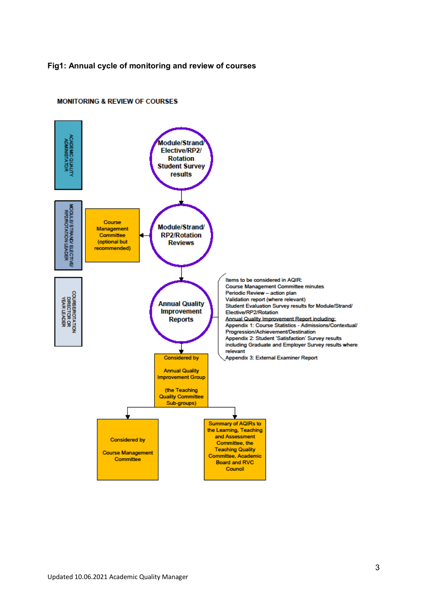#### **Fig1: Annual cycle of monitoring and review of courses**



#### **MONITORING & REVIEW OF COURSES**